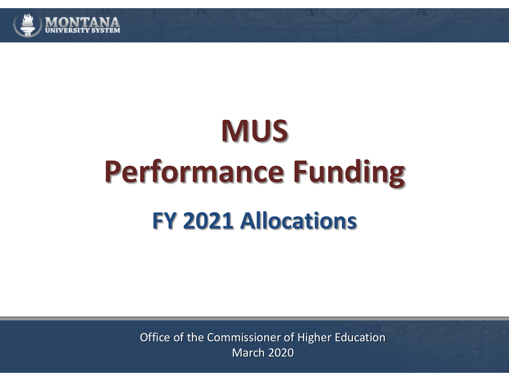

# **MUS Performance Funding FY 2021 Allocations**

Office of the Commissioner of Higher Education March 2020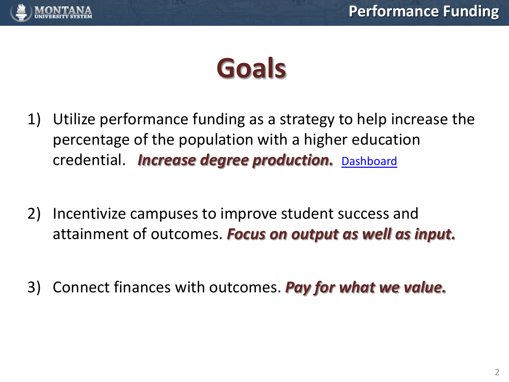

# **Goals**

- 1) Utilize performance funding as a strategy to help increase the percentage of the population with a higher education credential. *Increase degree production.* [Dashboard](http://www.mus.edu/data/dashboards/degrees.asp)
- 2) Incentivize campuses to improve student success and attainment of outcomes. *Focus on output as well as input.*
- 3) Connect finances with outcomes. *Pay for what we value.*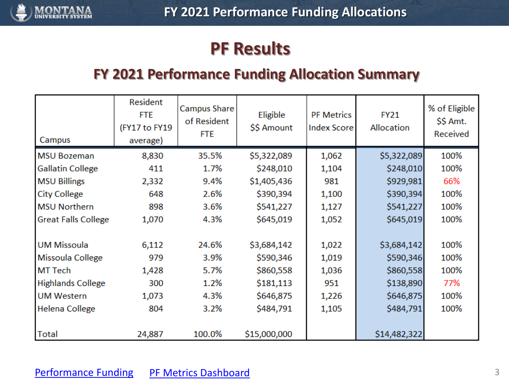<span id="page-2-0"></span>

# **PF Results**

# **FY 2021 Performance Funding Allocation Summary**

| Campus                     | Resident<br><b>FTE</b><br>(FY17 to FY19<br>average) | <b>Campus Share</b><br>of Resident<br><b>FTE</b> | Eligible<br>\$\$ Amount | <b>PF Metrics</b><br><b>Index Score</b> | <b>FY21</b><br>Allocation | % of Eligible<br>\$\$ Amt.<br>Received |
|----------------------------|-----------------------------------------------------|--------------------------------------------------|-------------------------|-----------------------------------------|---------------------------|----------------------------------------|
| <b>MSU Bozeman</b>         | 8,830                                               | 35.5%                                            | \$5,322,089             | 1,062                                   | \$5,322,089               | 100%                                   |
| <b>Gallatin College</b>    | 411                                                 | 1.7%                                             | \$248,010               | 1,104                                   | \$248,010                 | 100%                                   |
| <b>MSU Billings</b>        | 2,332                                               | 9.4%                                             | \$1,405,436             | 981                                     | \$929,981                 | 66%                                    |
| <b>City College</b>        | 648                                                 | 2.6%                                             | \$390,394               | 1,100                                   | \$390,394                 | 100%                                   |
| <b>MSU Northern</b>        | 898                                                 | 3.6%                                             | \$541,227               | 1,127                                   | \$541,227                 | 100%                                   |
| <b>Great Falls College</b> | 1,070                                               | 4.3%                                             | \$645,019               | 1,052                                   | \$645,019                 | 100%                                   |
|                            |                                                     |                                                  |                         |                                         |                           |                                        |
| <b>UM Missoula</b>         | 6,112                                               | 24.6%                                            | \$3,684,142             | 1,022                                   | \$3,684,142               | 100%                                   |
| Missoula College           | 979                                                 | 3.9%                                             | \$590,346               | 1,019                                   | \$590,346                 | 100%                                   |
| <b>MT Tech</b>             | 1,428                                               | 5.7%                                             | \$860,558               | 1,036                                   | \$860,558                 | 100%                                   |
| <b>Highlands College</b>   | 300                                                 | 1.2%                                             | \$181,113               | 951                                     | \$138,890                 | 77%                                    |
| <b>UM Western</b>          | 1,073                                               | 4.3%                                             | \$646,875               | 1,226                                   | \$646,875                 | 100%                                   |
| Helena College             | 804                                                 | 3.2%                                             | \$484,791               | 1,105                                   | \$484,791                 | 100%                                   |
| Total                      | 24,887                                              | 100.0%                                           | \$15,000,000            |                                         | \$14,482,322              |                                        |

#### [Performance Funding](https://www.mus.edu/data/performancefunding/default.asp) [PF Metrics Dashboard](https://www.mus.edu/data/performancefunding/dashboards/default.asp)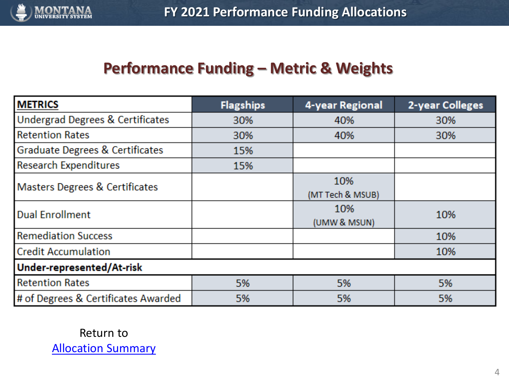

# **Performance Funding – Metric & Weights**

| <b>METRICS</b>                              | <b>Flagships</b> | 4-year Regional         | 2-year Colleges |
|---------------------------------------------|------------------|-------------------------|-----------------|
| <b>Undergrad Degrees &amp; Certificates</b> | 30%              | 40%                     | 30%             |
| <b>Retention Rates</b>                      | 30%              | 40%                     | 30%             |
| Graduate Degrees & Certificates             | 15%              |                         |                 |
| <b>Research Expenditures</b>                | 15%              |                         |                 |
| <b>Masters Degrees &amp; Certificates</b>   |                  | 10%<br>(MT Tech & MSUB) |                 |
| <b>Dual Enrollment</b>                      |                  | 10%<br>(UMW & MSUN)     | 10%             |
| <b>Remediation Success</b>                  |                  |                         | 10%             |
| <b>Credit Accumulation</b>                  |                  |                         | 10%             |
| Under-represented/At-risk                   |                  |                         |                 |
| <b>Retention Rates</b>                      | 5%               | 5%                      | 5%              |
| # of Degrees & Certificates Awarded         | 5%               | 5%                      | 5%              |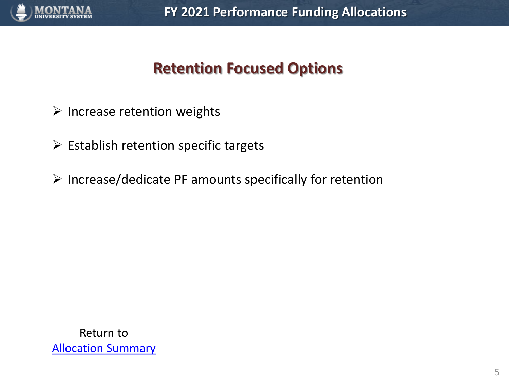

# **Retention Focused Options**

- $\triangleright$  Increase retention weights
- $\triangleright$  Establish retention specific targets
- ➢ Increase/dedicate PF amounts specifically for retention

Return to [Allocation Summary](#page-2-0)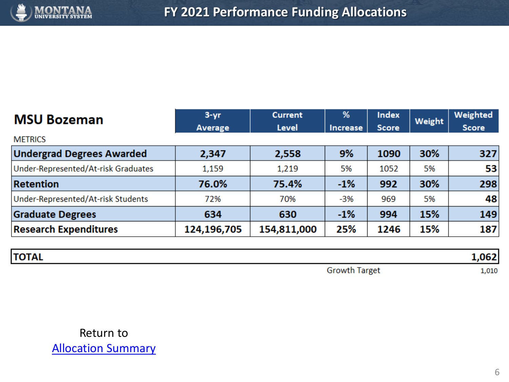

| <b>MSU Bozeman</b>                  | $3 - yr$    | <b>Current</b> | %               | <b>Index</b> |        | Weighted     |
|-------------------------------------|-------------|----------------|-----------------|--------------|--------|--------------|
|                                     | Average     | <b>Level</b>   | <b>Increase</b> | <b>Score</b> | Weight | <b>Score</b> |
| <b>METRICS</b>                      |             |                |                 |              |        |              |
| <b>Undergrad Degrees Awarded</b>    | 2,347       | 2,558          | 9%              | 1090         | 30%    | 327          |
| Under-Represented/At-risk Graduates | 1,159       | 1,219          | 5%              | 1052         | 5%     | 53           |
| <b>Retention</b>                    | 76.0%       | 75.4%          | $-1%$           | 992          | 30%    | 298          |
| Under-Represented/At-risk Students  | 72%         | 70%            | $-3%$           | 969          | 5%     | 48           |
| <b>Graduate Degrees</b>             | 634         | 630            | $-1%$           | 994          | 15%    | 149          |
| <b>Research Expenditures</b>        | 124,196,705 | 154,811,000    | 25%             | 1246         | 15%    | 187          |

| <b>TOTAL</b> |                                                        |       |
|--------------|--------------------------------------------------------|-------|
|              | larget<br>$ \mathbf{r}$ $\mathbf{r}$<br><u>UIVW.II</u> | 1,010 |

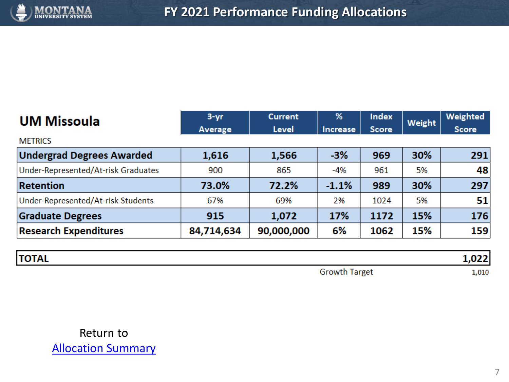

| <b>UM Missoula</b>                  | $3 - yr$       | <b>Current</b> | %        | <b>Index</b> | Weight | Weighted     |
|-------------------------------------|----------------|----------------|----------|--------------|--------|--------------|
|                                     | <b>Average</b> | Level          | Increase | <b>Score</b> |        | <b>Score</b> |
| <b>METRICS</b>                      |                |                |          |              |        |              |
| <b>Undergrad Degrees Awarded</b>    | 1,616          | 1,566          | $-3%$    | 969          | 30%    | 291          |
| Under-Represented/At-risk Graduates | 900            | 865            | -4%      | 961          | 5%     | 48           |
| <b>Retention</b>                    | 73.0%          | 72.2%          | $-1.1%$  | 989          | 30%    | 297          |
| Under-Represented/At-risk Students  | 67%            | 69%            | 2%       | 1024         | 5%     | 51           |
| <b>Graduate Degrees</b>             | 915            | 1,072          | 17%      | 1172         | 15%    | 176          |
| <b>Research Expenditures</b>        | 84,714,634     | 90,000,000     | 6%       | 1062         | 15%    | 159          |

| <b>TOTAL</b> |                                |       |
|--------------|--------------------------------|-------|
|              | Growth<br><b>Growth Target</b> | 1,010 |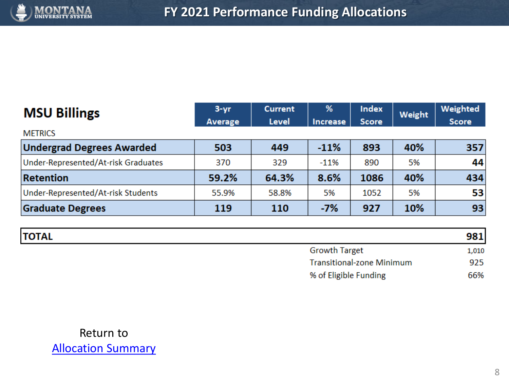

| <b>MSU Billings</b>                 | $3 - yr$ | <b>Current</b> | %        | <b>Index</b> | Weight | Weighted     |
|-------------------------------------|----------|----------------|----------|--------------|--------|--------------|
| <b>METRICS</b>                      | Average  | <b>Level</b>   | Increase | <b>Score</b> |        | <b>Score</b> |
| <b>Undergrad Degrees Awarded</b>    | 503      | 449            | $-11%$   | 893          | 40%    | 357          |
| Under-Represented/At-risk Graduates | 370      | 329            | $-11%$   | 890          | 5%     | 44           |
| <b>Retention</b>                    | 59.2%    | 64.3%          | 8.6%     | 1086         | 40%    | 434          |
| Under-Represented/At-risk Students  | 55.9%    | 58.8%          | 5%       | 1052         | 5%     | 53           |
| <b>Graduate Degrees</b>             | 119      | 110            | $-7%$    | 927          | 10%    | 93           |

| <b>TOTAL</b> |                                  | 981   |
|--------------|----------------------------------|-------|
|              | <b>Growth Target</b>             | 1,010 |
|              | <b>Transitional-zone Minimum</b> | 925   |
|              | % of Eligible Funding            | 66%   |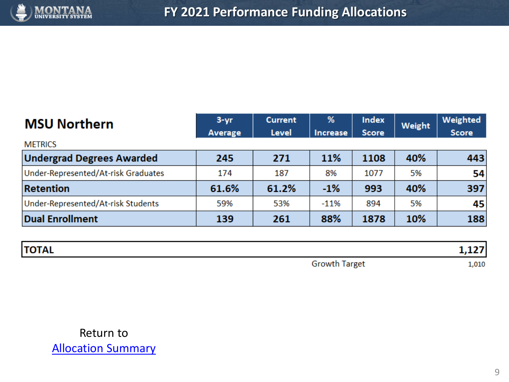

| <b>MSU Northern</b>                 | $3 - yr$<br>Average | <b>Current</b><br><b>Level</b> | %<br>Increase | <b>Index</b><br><b>Score</b> | Weight | Weighted<br><b>Score</b> |
|-------------------------------------|---------------------|--------------------------------|---------------|------------------------------|--------|--------------------------|
| <b>METRICS</b>                      |                     |                                |               |                              |        |                          |
| <b>Undergrad Degrees Awarded</b>    | 245                 | 271                            | 11%           | 1108                         | 40%    | 443                      |
| Under-Represented/At-risk Graduates | 174                 | 187                            | 8%            | 1077                         | 5%     | 54                       |
| <b>Retention</b>                    | 61.6%               | 61.2%                          | $-1%$         | 993                          | 40%    | 397                      |
| Under-Represented/At-risk Students  | 59%                 | 53%                            | $-11%$        | 894                          | 5%     | 45                       |
| <b>Dual Enrollment</b>              | 139                 | 261                            | 88%           | 1878                         | 10%    | 188                      |

| <b>TOTAL</b> |                               | --<br>. |
|--------------|-------------------------------|---------|
|              | Growt<br><b>Growth Target</b> | ,010    |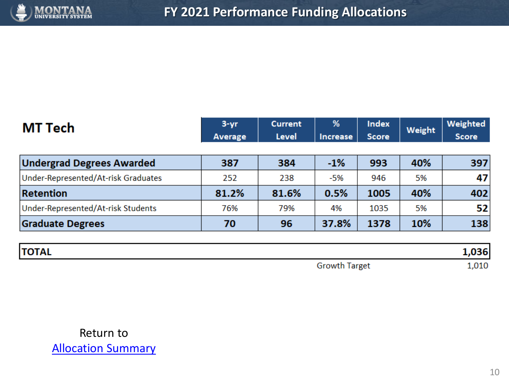

| MT Tech                             | $3 - yr$<br>Average | <b>Current</b><br>Level | %<br>Increase | <b>Index</b><br><b>Score</b> | Weight | Weighted<br><b>Score</b> |
|-------------------------------------|---------------------|-------------------------|---------------|------------------------------|--------|--------------------------|
|                                     |                     |                         |               |                              |        |                          |
| <b>Undergrad Degrees Awarded</b>    | 387                 | 384                     | $-1%$         | 993                          | 40%    | 397                      |
| Under-Represented/At-risk Graduates | 252                 | 238                     | -5%           | 946                          | 5%     | 47                       |
| <b>Retention</b>                    | 81.2%               | 81.6%                   | 0.5%          | 1005                         | 40%    | 402                      |
| Under-Represented/At-risk Students  | 76%                 | 79%                     | 4%            | 1035                         | 5%     | 52                       |
| <b>Graduate Degrees</b>             | 70                  | 96                      | 37.8%         | 1378                         | 10%    | 138                      |

| <b>TOTAL</b> |                      | )36  |
|--------------|----------------------|------|
|              | <b>Growth Target</b> | ,010 |

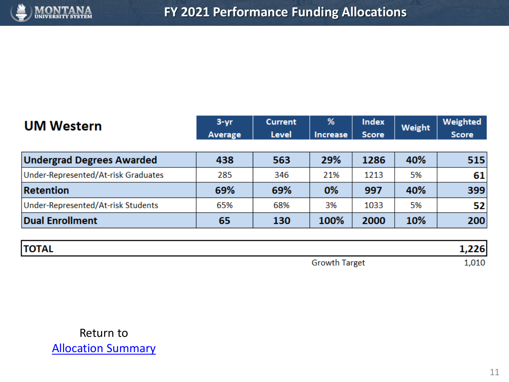

| <b>UM Western</b>                   | $3 - yr$<br>Average | <b>Current</b><br><b>Level</b> | %<br><b>Increase</b> | <b>Index</b><br><b>Score</b> | Weight | Weighted<br><b>Score</b> |
|-------------------------------------|---------------------|--------------------------------|----------------------|------------------------------|--------|--------------------------|
|                                     |                     |                                |                      |                              |        |                          |
| <b>Undergrad Degrees Awarded</b>    | 438                 | 563                            | 29%                  | 1286                         | 40%    | 515                      |
| Under-Represented/At-risk Graduates | 285                 | 346                            | 21%                  | 1213                         | 5%     | 61                       |
| <b>Retention</b>                    | 69%                 | 69%                            | 0%                   | 997                          | 40%    | 399                      |
| Under-Represented/At-risk Students  | 65%                 | 68%                            | 3%                   | 1033                         | 5%     | 52                       |
| <b>Dual Enrollment</b>              | 65                  | 130                            | 100%                 | 2000                         | 10%    | 200                      |

| <b>TOTAL</b> |                      |                |
|--------------|----------------------|----------------|
|              | <b>Growth Target</b> | $\lambda$ ,010 |

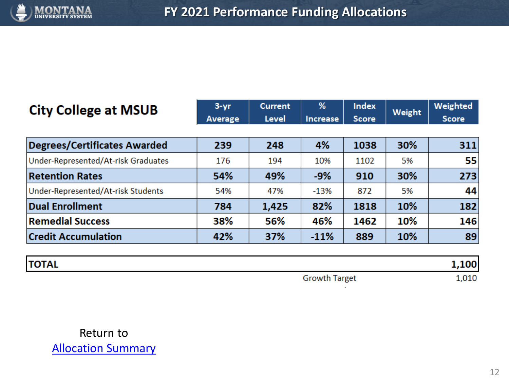

| <b>City College at MSUB</b>         | $3 - yr$ | <b>Current</b> | %               | <b>Index</b> | Weight | Weighted     |
|-------------------------------------|----------|----------------|-----------------|--------------|--------|--------------|
|                                     | Average  | <b>Level</b>   | <b>Increase</b> | <b>Score</b> |        | <b>Score</b> |
|                                     |          |                |                 |              |        |              |
| <b>Degrees/Certificates Awarded</b> | 239      | 248            | 4%              | 1038         | 30%    | 311          |
| Under-Represented/At-risk Graduates | 176      | 194            | 10%             | 1102         | 5%     | 55           |
| <b>Retention Rates</b>              | 54%      | 49%            | $-9%$           | 910          | 30%    | 273          |
| Under-Represented/At-risk Students  | 54%      | 47%            | $-13%$          | 872          | 5%     | 44           |
| <b>Dual Enrollment</b>              | 784      | 1,425          | 82%             | 1818         | 10%    | 182          |
| <b>Remedial Success</b>             | 38%      | 56%            | 46%             | 1462         | 10%    | 146          |
| <b>Credit Accumulation</b>          | 42%      | 37%            | $-11%$          | 889          | 10%    | 89           |

| <b>TOTAL</b> |                      | '00. |
|--------------|----------------------|------|
|              | <b>Growth Target</b> | ,010 |

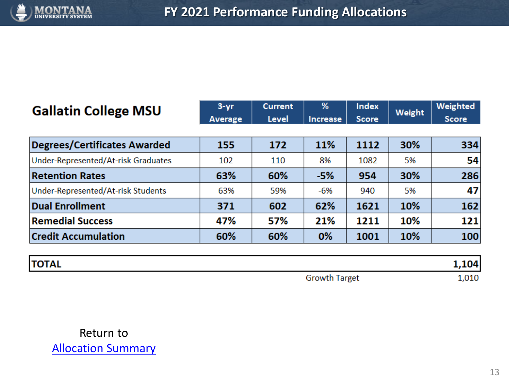

| <b>Gallatin College MSU</b>         | $3 - yr$ | <b>Current</b> | %               | <b>Index</b> | Weight | Weighted     |
|-------------------------------------|----------|----------------|-----------------|--------------|--------|--------------|
|                                     | Average  | <b>Level</b>   | <b>Increase</b> | <b>Score</b> |        | <b>Score</b> |
|                                     |          |                |                 |              |        |              |
| <b>Degrees/Certificates Awarded</b> | 155      | 172            | 11%             | 1112         | 30%    | 334          |
| Under-Represented/At-risk Graduates | 102      | 110            | 8%              | 1082         | 5%     | 54           |
| <b>Retention Rates</b>              | 63%      | 60%            | $-5%$           | 954          | 30%    | 286          |
| Under-Represented/At-risk Students  | 63%      | 59%            | -6%             | 940          | 5%     | 47           |
| <b>Dual Enrollment</b>              | 371      | 602            | 62%             | 1621         | 10%    | 162          |
| <b>Remedial Success</b>             | 47%      | 57%            | 21%             | 1211         | 10%    | 121          |
| <b>Credit Accumulation</b>          | 60%      | 60%            | 0%              | 1001         | 10%    | 100          |

| <b>TOTAL</b> |                      | 104  |
|--------------|----------------------|------|
|              | <b>Growth Target</b> | ,010 |

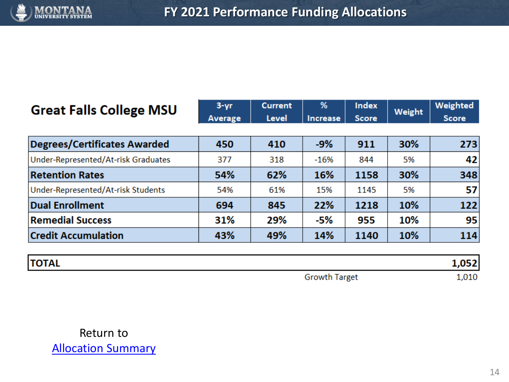

### Great

| <b>Great Falls College MSU</b>      | $3 - yr$ | <b>Current</b> | %               | <b>Index</b> | Weight | Weighted     |
|-------------------------------------|----------|----------------|-----------------|--------------|--------|--------------|
|                                     | Average  | <b>Level</b>   | <b>Increase</b> | <b>Score</b> |        | <b>Score</b> |
| <b>Degrees/Certificates Awarded</b> | 450      | 410            | $-9%$           | 911          | 30%    | 273          |
| Under-Represented/At-risk Graduates | 377      | 318            | $-16%$          | 844          | 5%     | 42           |
| <b>Retention Rates</b>              | 54%      | 62%            | 16%             | 1158         | 30%    | 348          |
| Under-Represented/At-risk Students  | 54%      | 61%            | 15%             | 1145         | 5%     | 57           |
| <b>Dual Enrollment</b>              | 694      | 845            | 22%             | 1218         | 10%    | 122          |
| <b>Remedial Success</b>             | 31%      | 29%            | -5%             | 955          | 10%    | 95           |
| <b>Credit Accumulation</b>          | 43%      | 49%            | 14%             | 1140         | 10%    | 114          |

| <b>TOTAL</b> |                      | 052 |
|--------------|----------------------|-----|
|              | <b>Growth Target</b> | 010 |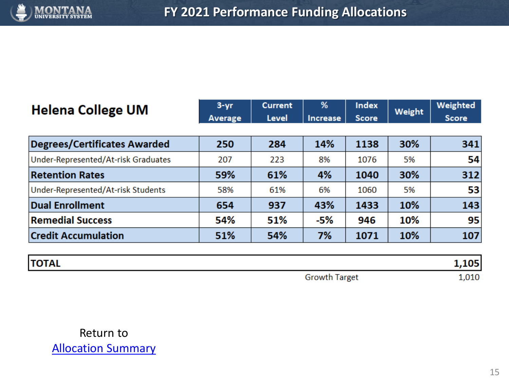

| <b>Helena College UM</b>            | $3 - yr$ | <b>Current</b> | %        | <b>Index</b> | Weight | Weighted     |
|-------------------------------------|----------|----------------|----------|--------------|--------|--------------|
|                                     | Average  | <b>Level</b>   | Increase | <b>Score</b> |        | <b>Score</b> |
|                                     |          |                |          |              |        |              |
| <b>Degrees/Certificates Awarded</b> | 250      | 284            | 14%      | 1138         | 30%    | 341          |
| Under-Represented/At-risk Graduates | 207      | 223            | 8%       | 1076         | 5%     | 54           |
| <b>Retention Rates</b>              | 59%      | 61%            | 4%       | 1040         | 30%    | 312          |
| Under-Represented/At-risk Students  | 58%      | 61%            | 6%       | 1060         | 5%     | 53           |
| <b>Dual Enrollment</b>              | 654      | 937            | 43%      | 1433         | 10%    | 143          |
| <b>Remedial Success</b>             | 54%      | 51%            | -5%      | 946          | 10%    | 95           |
| <b>Credit Accumulation</b>          | 51%      | 54%            | 7%       | 1071         | 10%    | 107          |

| <b>TOTAL</b> |                        | .05 |
|--------------|------------------------|-----|
|              | <b>Growt</b><br>Target | 010 |

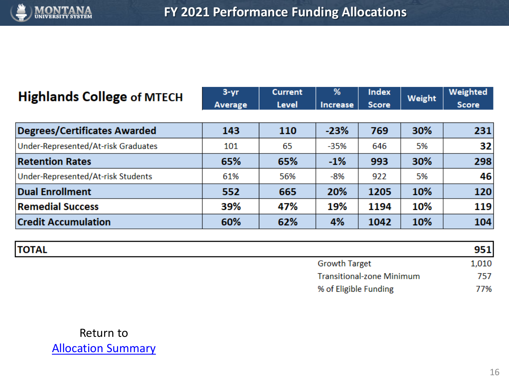

## **Highlands College of MTECH**

| $3 - vr$       | <b>Current</b> | %        | <b>Index</b> | Weight | <b>Weighted</b> |
|----------------|----------------|----------|--------------|--------|-----------------|
| <b>Average</b> | Level          | Increase | Score        |        | Score           |

| <b>Degrees/Certificates Awarded</b> | 143 | 110 | $-23%$ | 769  | 30% | 231 |
|-------------------------------------|-----|-----|--------|------|-----|-----|
| Under-Represented/At-risk Graduates | 101 | 65  | $-35%$ | 646  | 5%  | 32  |
| <b>Retention Rates</b>              | 65% | 65% | $-1%$  | 993  | 30% | 298 |
| Under-Represented/At-risk Students  | 61% | 56% | -8%    | 922  | 5%  | 46  |
| Dual Enrollment                     | 552 | 665 | 20%    | 1205 | 10% | 120 |
| <b>Remedial Success</b>             | 39% | 47% | 19%    | 1194 | 10% | 119 |
| <b>Credit Accumulation</b>          | 60% | 62% | 4%     | 1042 | 10% | 104 |

| <b>TOTAL</b> |                                  | 951   |
|--------------|----------------------------------|-------|
|              | <b>Growth Target</b>             | 1,010 |
|              | <b>Transitional-zone Minimum</b> | 757   |
|              | % of Eligible Funding            | 77%   |